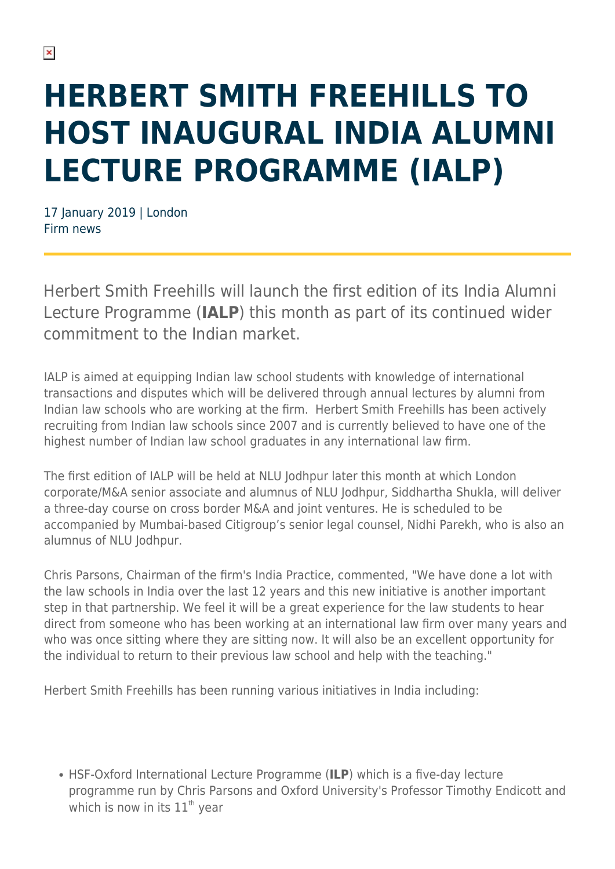## **HERBERT SMITH FREEHILLS TO HOST INAUGURAL INDIA ALUMNI LECTURE PROGRAMME (IALP)**

17 January 2019 | London Firm news

Herbert Smith Freehills will launch the first edition of its India Alumni Lecture Programme (**IALP**) this month as part of its continued wider commitment to the Indian market.

IALP is aimed at equipping Indian law school students with knowledge of international transactions and disputes which will be delivered through annual lectures by alumni from Indian law schools who are working at the firm. Herbert Smith Freehills has been actively recruiting from Indian law schools since 2007 and is currently believed to have one of the highest number of Indian law school graduates in any international law firm.

The first edition of IALP will be held at NLU Jodhpur later this month at which London corporate/M&A senior associate and alumnus of NLU Jodhpur, Siddhartha Shukla, will deliver a three-day course on cross border M&A and joint ventures. He is scheduled to be accompanied by Mumbai-based Citigroup's senior legal counsel, Nidhi Parekh, who is also an alumnus of NLU Jodhpur.

Chris Parsons, Chairman of the firm's India Practice, commented, "We have done a lot with the law schools in India over the last 12 years and this new initiative is another important step in that partnership. We feel it will be a great experience for the law students to hear direct from someone who has been working at an international law firm over many years and who was once sitting where they are sitting now. It will also be an excellent opportunity for the individual to return to their previous law school and help with the teaching."

Herbert Smith Freehills has been running various initiatives in India including:

HSF-Oxford International Lecture Programme (**ILP**) which is a five-day lecture programme run by Chris Parsons and Oxford University's Professor Timothy Endicott and which is now in its  $11^{th}$  year